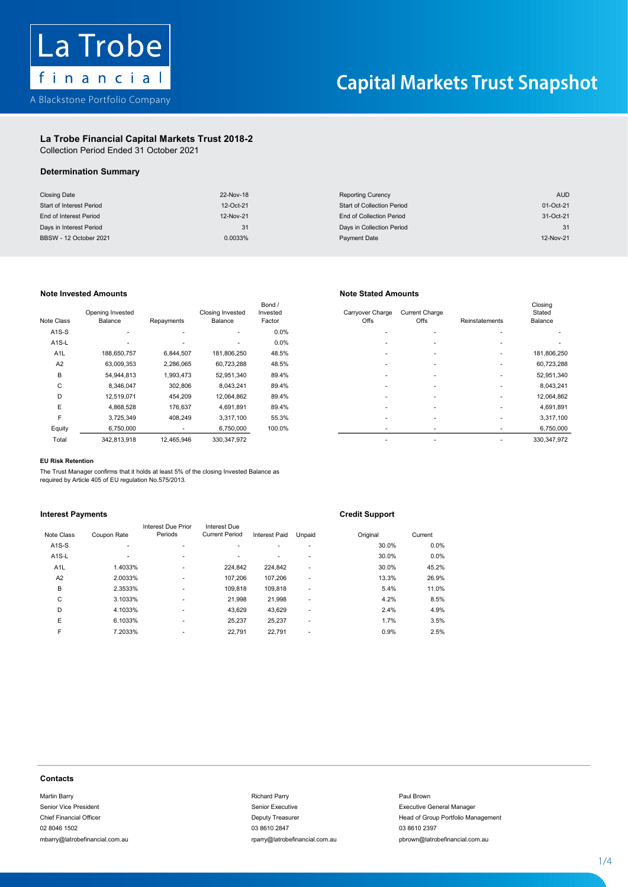

### La Trobe Financial Capital Markets Trust 2018-2 Capital Markets Trust 2018-2La Trobe Financial Capital Markets Trust 2018-2 La Trobe Financial Capital Markets

Collection Period Ended 31 October 2021 Collection Period Ended 31 October 2021

## La Trobe Financial Capital Markets Trust 2018-2 Determination Summary Determination Summary Determination Summary

| <b>Closing Date</b>      | 22-Nov-18 | <b>Reporting Curency</b>          | <b>AUD</b> |
|--------------------------|-----------|-----------------------------------|------------|
| Start of Interest Period | 12-Oct-21 | <b>Start of Collection Period</b> | 01-Oct-21  |
| End of Interest Period   | 12-Nov-21 | End of Collection Period          | 31-Oct-21  |
| Days in Interest Period  | 31        | Days in Collection Period         | 31         |
| BBSW - 12 October 2021   | 0.0033%   | Payment Date                      | 12-Nov-21  |

## Note Invested Amounts Note Stated Amounts

| Note Class         | Opening Invested<br>Balance | Repayments | <b>Closing Invested</b><br>Balance | Bond /<br>Invested<br>Factor | Carryover Charge<br>Offs | <b>Current Charge</b><br>Offs | Reinstatements | Closing<br>Stated<br>Balance |
|--------------------|-----------------------------|------------|------------------------------------|------------------------------|--------------------------|-------------------------------|----------------|------------------------------|
| $A1S-S$            |                             |            | ٠                                  | 0.0%                         |                          |                               |                |                              |
| A <sub>1</sub> S-L | ۰                           |            | ٠                                  | 0.0%                         |                          | $\overline{\phantom{a}}$      |                |                              |
| A <sub>1</sub> L   | 188,650,757                 | 6,844,507  | 181,806,250                        | 48.5%                        | ۰                        |                               |                | 181,806,250                  |
| A <sub>2</sub>     | 63,009,353                  | 2,286,065  | 60,723,288                         | 48.5%                        | ۰                        |                               |                | 60,723,288                   |
| B                  | 54,944,813                  | 1,993,473  | 52,951,340                         | 89.4%                        |                          |                               | ٠              | 52,951,340                   |
| C                  | 8,346,047                   | 302,806    | 8,043,241                          | 89.4%                        | ۰                        |                               |                | 8,043,241                    |
| D                  | 12,519,071                  | 454,209    | 12,064,862                         | 89.4%                        | ۰                        | ۰                             |                | 12,064,862                   |
| E                  | 4.868.528                   | 176,637    | 4,691,891                          | 89.4%                        |                          |                               |                | 4,691,891                    |
| F                  | 3,725,349                   | 408,249    | 3,317,100                          | 55.3%                        | ۰                        | $\overline{\phantom{a}}$      |                | 3,317,100                    |
| Equity             | 6,750,000                   | ٠          | 6,750,000                          | 100.0%                       |                          |                               |                | 6,750,000                    |
| Total              | 342 813 918                 | 12 465 946 | 330 347 972                        |                              |                          |                               |                | 330 347 972                  |

| Class            | Opening Invested<br>Balance | Repayments | <b>Closing Invested</b><br>Balance | Bond /<br>Invested<br>Factor | Carryover Charge<br>Offs | <b>Current Charge</b><br>Offs | Reinstatements | Closing<br>Stated<br>Balance |
|------------------|-----------------------------|------------|------------------------------------|------------------------------|--------------------------|-------------------------------|----------------|------------------------------|
| <b>\1S-S</b>     |                             |            |                                    | 0.0%                         |                          |                               |                |                              |
| \1S-L            | $\overline{\phantom{a}}$    |            |                                    | 0.0%                         |                          |                               |                |                              |
| A <sub>1</sub> L | 188,650,757                 | 6,844,507  | 181,806,250                        | 48.5%                        |                          |                               |                | 181,806,250                  |
| A2               | 63,009,353                  | 2,286,065  | 60,723,288                         | 48.5%                        |                          |                               |                | 60,723,288                   |
| B                | 54,944,813                  | 1,993,473  | 52,951,340                         | 89.4%                        |                          |                               |                | 52,951,340                   |
| C                | 8,346,047                   | 302,806    | 8,043,241                          | 89.4%                        |                          |                               |                | 8,043,241                    |
| D                | 12,519,071                  | 454,209    | 12,064,862                         | 89.4%                        |                          |                               |                | 12,064,862                   |
| E                | 4.868.528                   | 176.637    | 4,691,891                          | 89.4%                        |                          |                               |                | 4,691,891                    |
| F                | 3,725,349                   | 408.249    | 3.317.100                          | 55.3%                        |                          |                               |                | 3,317,100                    |
| Equity           | 6,750,000                   |            | 6,750,000                          | 100.0%                       | $\overline{\phantom{a}}$ |                               |                | 6,750,000                    |
| Total            | 342,813,918                 | 12,465,946 | 330, 347, 972                      |                              |                          |                               |                | 330, 347, 972                |
|                  |                             |            |                                    |                              |                          |                               |                |                              |

### EU Risk Retention

F 3,725,349 408,249 3,317,100 55.3% - - - 3,317,100 The Trust Manager confirms that it holds at least 5% of the closing Invested Balance as<br>required by Article 405 of ELLrequistion No 575/2013 required by Article 405 of EU regulation No.575/2013. The Trust Manager The Trust Manager confirms that it holds at least 5% of the closing Invested Balance as<br>required by Article 405 of EU regulation No.575/2013.<br>.

## **Interest Payments Europe Credit Support**

|                  |             |                               |                                       |               |        | . .      |         |
|------------------|-------------|-------------------------------|---------------------------------------|---------------|--------|----------|---------|
| Note Class       | Coupon Rate | Interest Due Prior<br>Periods | Interest Due<br><b>Current Period</b> | Interest Paid | Unpaid | Original | Current |
| $A1S-S$          | ۰           |                               |                                       | ÷             | ۰      | 30.0%    | 0.0%    |
| $A1S-L$          | ۰.          | ٠                             |                                       | ۰             | ۰      | 30.0%    | 0.0%    |
| A <sub>1</sub> L | 1.4033%     | ٠                             | 224,842                               | 224,842       | ٠      | 30.0%    | 45.2%   |
| A2               | 2.0033%     | ٠                             | 107,206                               | 107,206       | ۰      | 13.3%    | 26.9%   |
| B                | 2.3533%     | ٠                             | 109.818                               | 109.818       | ۰      | 5.4%     | 11.0%   |
| C                | 3.1033%     | ٠                             | 21.998                                | 21,998        | ۰      | 4.2%     | 8.5%    |
| D                | 4.1033%     | ٠                             | 43,629                                | 43,629        | ۰      | 2.4%     | 4.9%    |
| E                | 6.1033%     | ٠                             | 25,237                                | 25,237        | ۰      | 1.7%     | 3.5%    |
| F                | 7.2033%     | ۰                             | 22,791                                | 22,791        | ۰      | 0.9%     | 2.5%    |
|                  |             |                               |                                       |               |        |          |         |

### **Contacts** Contacts Financial Officer Deputy Treasurer Head of Group Portfolio Management Portfolio Management Portfolio Ma contacts contacts contact of the state of the state of the state of the state of the state of the state of the state of the state of the state of the state of the state of the state of the state of the state of the state o

Martin Barry Richard Parry Paul Brown Senior Vice President Senior Executive Executive General Manager 02 8046 1502 03 8610 2847 03 8610 2397 mbarry@latrobefinancial.com.au rparry@latrobefinancial.com.au pbrown@latrobefinancial.com.au malatroatry altroduction come in the community of the complete complete come in the complete come in the community of the community of the community of the community of the community of the community of the community of th Frief Financial Manager Contacts<br>Martin Barry<br>Management of Group Portfolio Management of Group Portfolio Management of Group Portfolio Management

# mbarry@latrobefinancial.com.au rparry@latrobefinancial.com.au pbrown@latrobefinancial.com.au

Chief Financial Officer **Deputy Treasurer Chief Financial Officer Head of Group Portfolio Management** 

1 - 4

1 - 4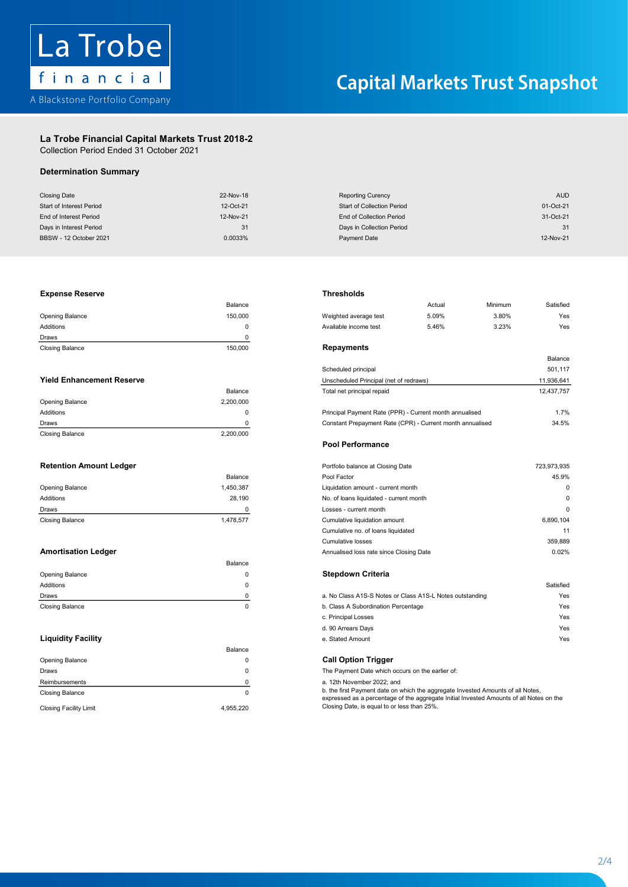

## La Trobe Financial Capital Markets Trust 2018-2 La Trobe Financial Capital Markets Trust 2018-2

Collection Period Ended 31 October 2021 Collection Period Ended 31 October 2021

# Determination Summary

| <b>Closing Date</b>      | 22-Nov-18 | <b>Reporting Curency</b>          | <b>AUD</b> |
|--------------------------|-----------|-----------------------------------|------------|
| Start of Interest Period | 12-Oct-21 | <b>Start of Collection Period</b> | 01-Oct-21  |
| End of Interest Period   | 12-Nov-21 | End of Collection Period          | 31-Oct-21  |
| Days in Interest Period  | 31        | Days in Collection Period         | 31         |
| BBSW - 12 October 2021   | 0.0033%   | Payment Date                      | 12-Nov-21  |

### Opening Balance 150,000 Weighted average test 5.09% 3.80% Yes Expense Reserve Thresholds

| <b>Closing Balance</b> | 150,000 | Repayments       |
|------------------------|---------|------------------|
| Draws                  |         |                  |
| Additions              |         | Available income |
| <b>Opening Balance</b> | 150.000 | Weighted averag  |
|                        | Balance |                  |

|                        | Balance   |
|------------------------|-----------|
| Opening Balance        | 2,200,000 |
| Additions              | 0         |
| Draws                  |           |
| <b>Closing Balance</b> | 2,200,000 |

|                        | Balance   |
|------------------------|-----------|
| Opening Balance        | 1,450,387 |
| <b>Additions</b>       | 28.190    |
| Draws                  |           |
| <b>Closing Balance</b> | 1,478,577 |

|                 | Balance |                                                          |           |
|-----------------|---------|----------------------------------------------------------|-----------|
| Opening Balance |         | <b>Stepdown Criteria</b>                                 |           |
| Additions       |         |                                                          | Satisfied |
| Draws           |         | a. No Class A1S-S Notes or Class A1S-L Notes outstanding | Yes       |
| Closing Balance |         | b. Class A Subordination Percentage                      | Yes       |

|                               | Balance   |                                                                                                                                                                            |
|-------------------------------|-----------|----------------------------------------------------------------------------------------------------------------------------------------------------------------------------|
| Opening Balance               |           | <b>Call Option Trigger</b>                                                                                                                                                 |
| Draws                         |           | The Payment Date which occurs on the earlier of:                                                                                                                           |
| Reimbursements                |           | a. 12th November 2022; and                                                                                                                                                 |
| Closing Balance               |           | b. the first Payment date on which the aggregate Invested Amounts of all Notes,<br>expressed as a percentage of the aggregate Initial Invested Amounts of all Notes on the |
| <b>Closing Facility Limit</b> | 4.955.220 | Closing Date, is equal to or less than 25%.                                                                                                                                |

### the serve that the contract of the contract of the contract of the contract of the contract of the contract of the contract of the contract of the contract of the contract of the contract of the contract of the contract of

| <b>AUD</b><br><b>Reporting Curency</b><br>01-Oct-21<br><b>Start of Collection Period</b><br>End of Collection Period<br>31-Oct-21<br>Days in Collection Period<br>31<br>12-Nov-21<br><b>Payment Date</b><br><b>Thresholds</b><br>Satisfied<br>Actual<br>Minimum<br>5.09%<br>Weighted average test<br>3.80%<br>Yes<br>Available income test<br>5.46%<br>3.23%<br>Yes<br><b>Repayments</b><br>Balance<br>501,117<br>Scheduled principal<br>Unscheduled Principal (net of redraws)<br>11,936,641 |
|-----------------------------------------------------------------------------------------------------------------------------------------------------------------------------------------------------------------------------------------------------------------------------------------------------------------------------------------------------------------------------------------------------------------------------------------------------------------------------------------------|
|                                                                                                                                                                                                                                                                                                                                                                                                                                                                                               |
|                                                                                                                                                                                                                                                                                                                                                                                                                                                                                               |
|                                                                                                                                                                                                                                                                                                                                                                                                                                                                                               |
|                                                                                                                                                                                                                                                                                                                                                                                                                                                                                               |
|                                                                                                                                                                                                                                                                                                                                                                                                                                                                                               |
|                                                                                                                                                                                                                                                                                                                                                                                                                                                                                               |
|                                                                                                                                                                                                                                                                                                                                                                                                                                                                                               |
|                                                                                                                                                                                                                                                                                                                                                                                                                                                                                               |
|                                                                                                                                                                                                                                                                                                                                                                                                                                                                                               |
|                                                                                                                                                                                                                                                                                                                                                                                                                                                                                               |
|                                                                                                                                                                                                                                                                                                                                                                                                                                                                                               |
|                                                                                                                                                                                                                                                                                                                                                                                                                                                                                               |
|                                                                                                                                                                                                                                                                                                                                                                                                                                                                                               |
|                                                                                                                                                                                                                                                                                                                                                                                                                                                                                               |
| Total net principal repaid<br>12,437,757                                                                                                                                                                                                                                                                                                                                                                                                                                                      |
|                                                                                                                                                                                                                                                                                                                                                                                                                                                                                               |
| Principal Payment Rate (PPR) - Current month annualised<br>1.7%                                                                                                                                                                                                                                                                                                                                                                                                                               |
| Constant Prepayment Rate (CPR) - Current month annualised<br>34.5%                                                                                                                                                                                                                                                                                                                                                                                                                            |
|                                                                                                                                                                                                                                                                                                                                                                                                                                                                                               |
| <b>Pool Performance</b>                                                                                                                                                                                                                                                                                                                                                                                                                                                                       |
| 723,973,935<br>Portfolio balance at Closing Date                                                                                                                                                                                                                                                                                                                                                                                                                                              |
| 45.9%                                                                                                                                                                                                                                                                                                                                                                                                                                                                                         |
| 0<br>Liquidation amount - current month                                                                                                                                                                                                                                                                                                                                                                                                                                                       |
| 0<br>No. of loans liquidated - current month                                                                                                                                                                                                                                                                                                                                                                                                                                                  |
| $\mathbf 0$<br>Losses - current month                                                                                                                                                                                                                                                                                                                                                                                                                                                         |
| 6,890,104<br>Cumulative liquidation amount                                                                                                                                                                                                                                                                                                                                                                                                                                                    |
| Cumulative no. of loans liquidated<br>11                                                                                                                                                                                                                                                                                                                                                                                                                                                      |
| <b>Cumulative losses</b><br>359,889                                                                                                                                                                                                                                                                                                                                                                                                                                                           |
| 0.02%<br>Annualised loss rate since Closing Date                                                                                                                                                                                                                                                                                                                                                                                                                                              |
|                                                                                                                                                                                                                                                                                                                                                                                                                                                                                               |
| <b>Stepdown Criteria</b>                                                                                                                                                                                                                                                                                                                                                                                                                                                                      |
| Satisfied                                                                                                                                                                                                                                                                                                                                                                                                                                                                                     |
| a. No Class A1S-S Notes or Class A1S-L Notes outstanding<br>Yes                                                                                                                                                                                                                                                                                                                                                                                                                               |
| b. Class A Subordination Percentage<br>Yes                                                                                                                                                                                                                                                                                                                                                                                                                                                    |
| c. Principal Losses<br>Yes                                                                                                                                                                                                                                                                                                                                                                                                                                                                    |
| d. 90 Arrears Days<br>Yes                                                                                                                                                                                                                                                                                                                                                                                                                                                                     |
| e. Stated Amount<br>Yes                                                                                                                                                                                                                                                                                                                                                                                                                                                                       |
|                                                                                                                                                                                                                                                                                                                                                                                                                                                                                               |
| <b>Call Option Trigger</b>                                                                                                                                                                                                                                                                                                                                                                                                                                                                    |
| The Payment Date which occurs on the earlier of:                                                                                                                                                                                                                                                                                                                                                                                                                                              |
| a. 12th November 2022; and                                                                                                                                                                                                                                                                                                                                                                                                                                                                    |
| b. the first Payment date on which the aggregate Invested Amounts of all Notes,<br>expressed as a percentage of the aggregate Initial Invested Amounts of all Notes on the                                                                                                                                                                                                                                                                                                                    |
| Closing Date, is equal to or less than 25%.                                                                                                                                                                                                                                                                                                                                                                                                                                                   |
|                                                                                                                                                                                                                                                                                                                                                                                                                                                                                               |

| <b>Retention Amount Ledger</b>      | Portfolio balance at Closing Date       | 723,973,935 |
|-------------------------------------|-----------------------------------------|-------------|
| Balance                             | Pool Factor                             | 45.9%       |
| Opening Balance<br>1,450,387        | Liquidation amount - current month      | 0           |
| Additions<br>28.190                 | No. of loans liquidated - current month | 0           |
| Draws                               | Losses - current month                  | 0           |
| <b>Closing Balance</b><br>1.478.577 | Cumulative liquidation amount           | 6,890,104   |
|                                     | Cumulative no. of loans liquidated      | 11          |
|                                     | <b>Cumulative losses</b>                | 359,889     |
| <b>Amortisation Ledger</b>          | Annualised loss rate since Closing Date | 0.02%       |

| Draws                     | a. No Class A1S-S Notes or Class A1S-L Notes outstanding | Yes |
|---------------------------|----------------------------------------------------------|-----|
| Closing Balance           | b. Class A Subordination Percentage                      | Yes |
|                           | c. Principal Losses                                      | Yes |
|                           | d. 90 Arrears Days                                       | Yes |
| <b>Liquidity Facility</b> | e. Stated Amount                                         | Yes |

2/4

2 - 4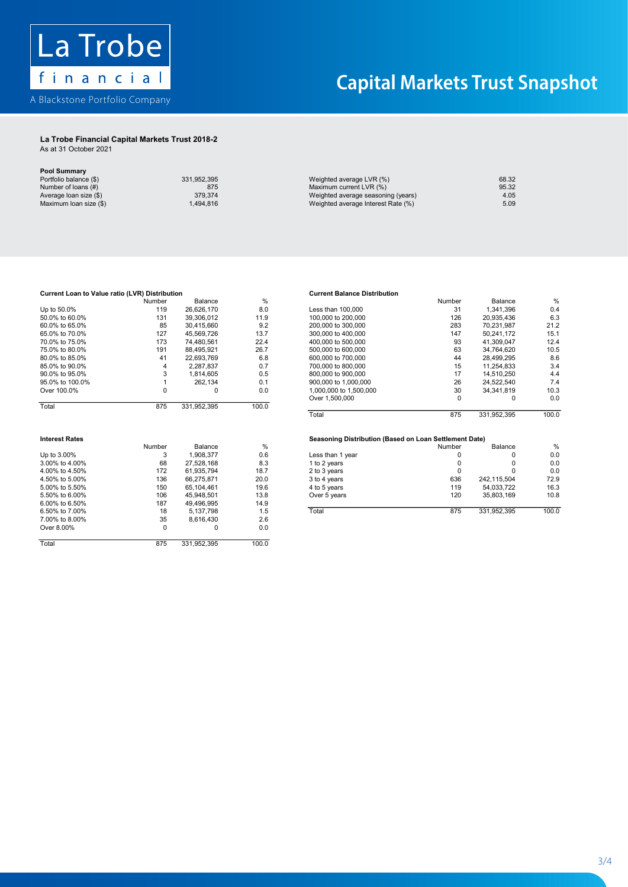

## La Trobe Financial Capital Markets Trust 2018-2 La Trobe Financial Capital Markets Trust 2018-2

As at 31 October 2021 As at 31 October 2021

Pool Summary

| <b>FUUI JUIIIIIIIII</b> |             |                                    |       |
|-------------------------|-------------|------------------------------------|-------|
| Portfolio balance (\$)  | 331.952.395 | Weighted average LVR (%)           | 68.32 |
| Number of loans (#)     | 875         | Maximum current LVR (%)            | 95.32 |
| Average loan size (\$)  | 379.374     | Weighted average seasoning (years) | 4.05  |
| Maximum Ioan size (\$)  | .494.816    | Weighted average Interest Rate (%) | 5.09  |
|                         |             |                                    |       |

|                                 |        |                                         |          |                   | Jumbe                    | ⊿ance                 |               |
|---------------------------------|--------|-----------------------------------------|----------|-------------------|--------------------------|-----------------------|---------------|
| Up to<br>.                      | .      | $\sim$<br>70<br>$\sim$<br>. .<br>$\sim$ | o.u      | .000<br>tnar<br>. | ັ                        | יגי<br>.,396<br>- - - |               |
| $-0.01$<br>$\sim$ $\sim$ $\sim$ | $\sim$ | 0.00000000                              | $\cdots$ |                   | $\overline{\phantom{a}}$ | 0.000000000           | $\sim$ $\sim$ |

| 50.0% to 60.0%                | 131            | 39,306,012              | 11.9          | 100,000 to 200,000                                     | 126      | 20,935,436   | 6.3                                |
|-------------------------------|----------------|-------------------------|---------------|--------------------------------------------------------|----------|--------------|------------------------------------|
| 60.0% to 65.0%                | 85             | 30,415,660              | 9.2           | 200,000 to 300,000                                     | 283      | 70,231,987   | 21.2                               |
| 65.0% to 70.0%                | 127            | 45,569,726              | 13.7          | 300,000 to 400,000                                     | 147      | 50,241,172   | 15.1                               |
| 70.0% to 75.0%                | 173            | 74.480.561              | 22.4          | 400,000 to 500,000                                     | 93       | 41.309.047   | 12.4                               |
| 75.0% to 80.0%                | 191            | 88,495,921              | 26.7          | 500,000 to 600,000                                     | 63       | 34,764,620   | 10.5                               |
| 80.0% to 85.0%                | 41             | 22,693,769              | 6.8           | 600,000 to 700,000                                     | 44       | 28,499,295   | 8.6                                |
| 85.0% to 90.0%                | 4              | 2,287,837               | 0.7           | 700,000 to 800,000                                     | 15       | 11,254,833   | 3.4                                |
| 90.0% to 95.0%                | 3              | 1,814,605               | 0.5           | 800,000 to 900,000                                     | 17       | 14,510,250   | 4.4                                |
| 95.0% to 100.0%               |                | 262,134                 | 0.1           | 900,000 to 1,000,000                                   | 26       | 24,522,540   | 7.4                                |
| Over 100.0%                   | 0              | 0                       | 0.0           | 1,000,000 to 1,500,000                                 | 30       | 34, 341, 819 | 10.3                               |
|                               |                |                         |               | Over 1,500,000                                         | $\Omega$ | $\Omega$     | 0. <sub>C</sub>                    |
| Total                         | 875            | 331,952,395             | 100.0         |                                                        |          |              |                                    |
|                               |                |                         |               | Total                                                  | 875      | 331,952,395  | 100.0                              |
|                               |                |                         |               |                                                        |          |              |                                    |
| <b>Interest Rates</b>         |                |                         |               |                                                        |          |              |                                    |
|                               | Number         | Balance                 | $\frac{0}{0}$ | Seasoning Distribution (Based on Loan Settlement Date) | Number   | Balance      |                                    |
|                               |                |                         |               |                                                        | 0        | 0            | %                                  |
| Up to 3.00%<br>3.00% to 4.00% | 3<br>68        | 1,908,377<br>27,528,168 | 0.6<br>8.3    | Less than 1 year                                       | 0        | 0            | 0. <sub>C</sub><br>0. <sub>C</sub> |
| 4.00% to 4.50%                | 172            | 61,935,794              | 18.7          | 1 to 2 years                                           | 0        | 0            | 0. <sub>C</sub>                    |
| 4.50% to 5.00%                | 136            | 66,275,871              | 20.0          | 2 to 3 years<br>3 to 4 years                           | 636      | 242,115,504  | 72.9                               |
| 5.00% to 5.50%                | 150            | 65,104,461              | 19.6          | 4 to 5 years                                           | 119      | 54,033,722   | 16.3                               |
| 5.50% to 6.00%                | 106            | 45,948,501              | 13.8          | Over 5 years                                           | 120      | 35,803,169   | 10.8                               |
| 6.00% to 6.50%                | 187            | 49,496,995              | 14.9          |                                                        |          |              |                                    |
| 6.50% to 7.00%                | 18             | 5,137,798               | 1.5           | Total                                                  | 875      | 331,952,395  | 100.0                              |
| 7.00% to 8.00%                |                |                         | 2.6           |                                                        |          |              |                                    |
| Over 8.00%                    | 35<br>$\Omega$ | 8,616,430<br>0          | 0.0           |                                                        |          |              |                                    |

### tribution<br>
The Current Balance Distribution<br>
The Current Balance Distribution المسابق المسابق المسابق المسابق المسابق المسابق المسابق المسابق المسابق المسابق المسابق المسابق المسابق المساب<br>المسابق المسابق المسابق المسابق المسابق المسابق المسابق المسابق المسابق المسابق المسابق المسابق المسابق المساب **Current Balance D**

|     |             |         |                        |     |             | %       |
|-----|-------------|---------|------------------------|-----|-------------|---------|
| 119 | 26.626.170  | 8.0     | Less than 100,000      | 31  | 1.341.396   | 0.4     |
| 131 | 39.306.012  | 11.9    | 100,000 to 200,000     | 126 | 20.935.436  | 6.3     |
| 85  | 30.415.660  | 9.2     | 200,000 to 300,000     | 283 | 70.231.987  | 21.2    |
| 127 | 45.569.726  | 13.7    | 300,000 to 400,000     | 147 | 50.241.172  | 15.1    |
| 173 | 74.480.561  | 22.4    | 400,000 to 500,000     | 93  | 41.309.047  | 12.4    |
| 191 | 88.495.921  | 26.7    | 500,000 to 600,000     | 63  | 34.764.620  | 10.5    |
| 41  | 22.693.769  | 6.8     | 600,000 to 700,000     | 44  | 28.499.295  | 8.6     |
| 4   | 2.287.837   | 0.7     | 700,000 to 800,000     | 15  | 11.254.833  | 3.4     |
|     | .814.605    | 0.5     | 800,000 to 900,000     | 17  | 14.510.250  | 4.4     |
|     | 262.134     | 0.1     | 900,000 to 1,000,000   | 26  | 24.522.540  | 7.4     |
|     |             | 0.0     | 1.000.000 to 1.500.000 | 30  | 34.341.819  | 10.3    |
|     |             |         | Over 1,500,000         | 0   |             | 0.0     |
| 875 | 331,952,395 | 100.0   |                        |     |             |         |
|     |             |         | Total                  | 875 | 331,952,395 | 100.0   |
|     | Number      | Balance | %                      |     | Number      | Balance |

|                   | Number | Balance    | %             |                  | Number | Balance     | %     |
|-------------------|--------|------------|---------------|------------------|--------|-------------|-------|
| Up to 3.00%       |        | 1.908.377  | 0.6           | Less than 1 year |        | $\Omega$    | 0.0   |
| 3.00% to 4.00%    | 68     | 27.528.168 | 8.3           | 1 to 2 vears     |        | 0           | 0.0   |
| 4.00% to 4.50%    | 172    | 61.935.794 | 18.7          | 2 to 3 years     |        |             | 0.0   |
| 4.50% to 5.00%    | 136    | 66.275.871 | 20.0          | 3 to 4 years     | 636    | 242.115.504 | 72.9  |
| 5.00% to 5.50%    | 150    | 65.104.461 | 19.6          | 4 to 5 years     | 119    | 54.033.722  | 16.3  |
| 5.50% to 6.00%    | 106    | 45.948.501 | 13.8          | Over 5 years     | 120    | 35.803.169  | 10.8  |
| 6.00% to 6.50%    | 187    | 49.496.995 | 14.9          |                  |        |             |       |
| 6.50% to 7.00%    | 18     | 5.137.798  | 1.5           | Total            | 875    | 331.952.395 | 100.0 |
| $7.0001 + 0.0001$ | $\sim$ | 0.010.100  | $\sim$ $\sim$ |                  |        |             |       |